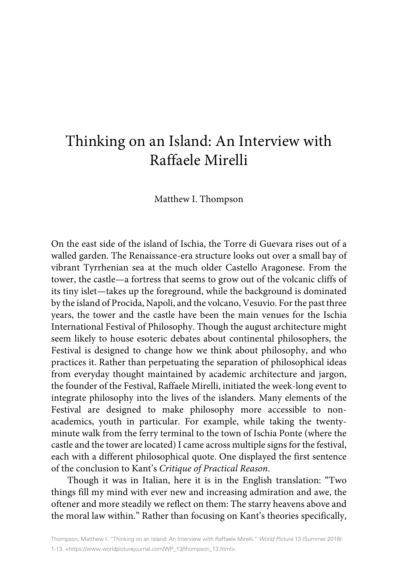## Thinking on an Island: An Interview with Raffaele Mirelli

Matthew I. Thompson

On the east side of the island of Ischia, the Torre di Guevara rises out of a walled garden. The Renaissance-era structure looks out over a small bay of vibrant Tyrrhenian sea at the much older Castello Aragonese. From the tower, the castle—a fortress that seems to grow out of the volcanic cliffs of its tiny islet—takes up the foreground, while the background is dominated by the island of Procida, Napoli, and the volcano, Vesuvio. For the past three years, the tower and the castle have been the main venues for the Ischia International Festival of Philosophy. Though the august architecture might seem likely to house esoteric debates about continental philosophers, the Festival is designed to change how we think about philosophy, and who practices it. Rather than perpetuating the separation of philosophical ideas from everyday thought maintained by academic architecture and jargon, the founder of the Festival, Raffaele Mirelli, initiated the week-long event to integrate philosophy into the lives of the islanders. Many elements of the Festival are designed to make philosophy more accessible to nonacademics, youth in particular. For example, while taking the twentyminute walk from the ferry terminal to the town of Ischia Ponte (where the castle and the tower are located) I came across multiple signs for the festival, each with a different philosophical quote. One displayed the first sentence of the conclusion to Kant's *Critique of Practical Reason*.

Though it was in Italian, here it is in the English translation: "Two things fill my mind with ever new and increasing admiration and awe, the oftener and more steadily we reflect on them: The starry heavens above and the moral law within." Rather than focusing on Kant's theories specifically,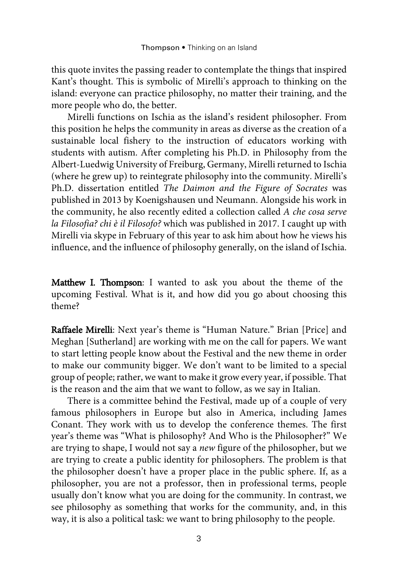this quote invites the passing reader to contemplate the things that inspired Kant's thought. This is symbolic of Mirelli's approach to thinking on the island: everyone can practice philosophy, no matter their training, and the more people who do, the better.

Mirelli functions on Ischia as the island's resident philosopher. From this position he helps the community in areas as diverse as the creation of a sustainable local fishery to the instruction of educators working with students with autism. After completing his Ph.D. in Philosophy from the Albert-Luedwig University of Freiburg, Germany, Mirelli returned to Ischia (where he grew up) to reintegrate philosophy into the community. Mirelli's Ph.D. dissertation entitled *The Daimon and the Figure of Socrates* was published in 2013 by Koenigshausen und Neumann. Alongside his work in the community, he also recently edited a collection called *A che cosa serve la Filosofia? chi è il Filosofo?* which was published in 2017. I caught up with Mirelli via skype in February of this year to ask him about how he views his influence, and the influence of philosophy generally, on the island of Ischia.

Matthew I. Thompson: I wanted to ask you about the theme of the upcoming Festival. What is it, and how did you go about choosing this theme?

Raffaele Mirelli: Next year's theme is "Human Nature." Brian [Price] and Meghan [Sutherland] are working with me on the call for papers. We want to start letting people know about the Festival and the new theme in order to make our community bigger. We don't want to be limited to a special group of people; rather, we want to make it grow every year, if possible. That is the reason and the aim that we want to follow, as we say in Italian.

There is a committee behind the Festival, made up of a couple of very famous philosophers in Europe but also in America, including James Conant. They work with us to develop the conference themes. The first year's theme was "What is philosophy? And Who is the Philosopher?" We are trying to shape, I would not say a *new* figure of the philosopher, but we are trying to create a public identity for philosophers. The problem is that the philosopher doesn't have a proper place in the public sphere. If, as a philosopher, you are not a professor, then in professional terms, people usually don't know what you are doing for the community. In contrast, we see philosophy as something that works for the community, and, in this way, it is also a political task: we want to bring philosophy to the people.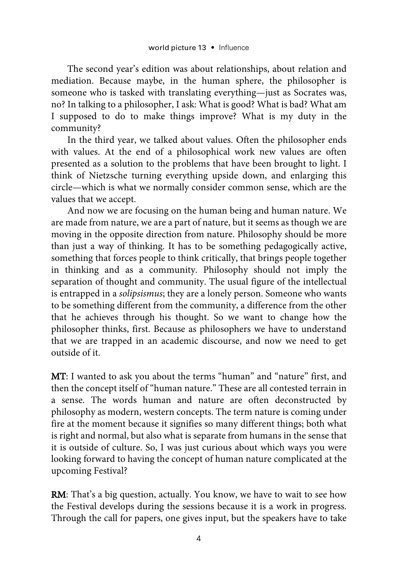The second year's edition was about relationships, about relation and mediation. Because maybe, in the human sphere, the philosopher is someone who is tasked with translating everything—just as Socrates was, no? In talking to a philosopher, I ask: What is good? What is bad? What am I supposed to do to make things improve? What is my duty in the community?

In the third year, we talked about values. Often the philosopher ends with values. At the end of a philosophical work new values are often presented as a solution to the problems that have been brought to light. I think of Nietzsche turning everything upside down, and enlarging this circle—which is what we normally consider common sense, which are the values that we accept.

And now we are focusing on the human being and human nature. We are made from nature, we are a part of nature, but it seems as though we are moving in the opposite direction from nature. Philosophy should be more than just a way of thinking. It has to be something pedagogically active, something that forces people to think critically, that brings people together in thinking and as a community. Philosophy should not imply the separation of thought and community. The usual figure of the intellectual is entrapped in a *solipsismus*; they are a lonely person. Someone who wants to be something different from the community, a difference from the other that he achieves through his thought. So we want to change how the philosopher thinks, first. Because as philosophers we have to understand that we are trapped in an academic discourse, and now we need to get outside of it.

MT: I wanted to ask you about the terms "human" and "nature" first, and then the concept itself of "human nature." These are all contested terrain in a sense. The words human and nature are often deconstructed by philosophy as modern, western concepts. The term nature is coming under fire at the moment because it signifies so many different things; both what is right and normal, but also what is separate from humans in the sense that it is outside of culture. So, I was just curious about which ways you were looking forward to having the concept of human nature complicated at the upcoming Festival?

RM: That's a big question, actually. You know, we have to wait to see how the Festival develops during the sessions because it is a work in progress. Through the call for papers, one gives input, but the speakers have to take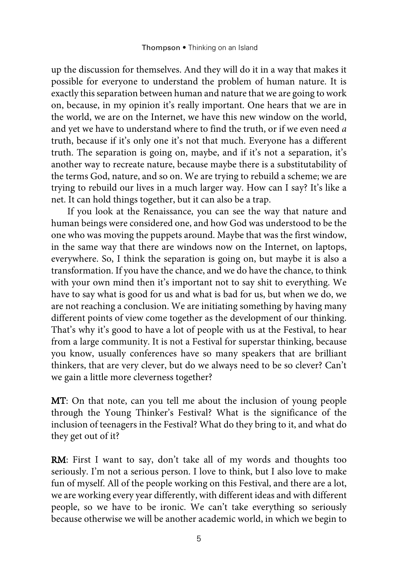up the discussion for themselves. And they will do it in a way that makes it possible for everyone to understand the problem of human nature. It is exactly this separation between human and nature that we are going to work on, because, in my opinion it's really important. One hears that we are in the world, we are on the Internet, we have this new window on the world, and yet we have to understand where to find the truth, or if we even need *a* truth, because if it's only one it's not that much. Everyone has a different truth. The separation is going on, maybe, and if it's not a separation, it's another way to recreate nature, because maybe there is a substitutability of the terms God, nature, and so on. We are trying to rebuild a scheme; we are trying to rebuild our lives in a much larger way. How can I say? It's like a net. It can hold things together, but it can also be a trap.

If you look at the Renaissance, you can see the way that nature and human beings were considered one, and how God was understood to be the one who was moving the puppets around. Maybe that was the first window, in the same way that there are windows now on the Internet, on laptops, everywhere. So, I think the separation is going on, but maybe it is also a transformation. If you have the chance, and we do have the chance, to think with your own mind then it's important not to say shit to everything. We have to say what is good for us and what is bad for us, but when we do, we are not reaching a conclusion. We are initiating something by having many different points of view come together as the development of our thinking. That's why it's good to have a lot of people with us at the Festival, to hear from a large community. It is not a Festival for superstar thinking, because you know, usually conferences have so many speakers that are brilliant thinkers, that are very clever, but do we always need to be so clever? Can't we gain a little more cleverness together?

MT: On that note, can you tell me about the inclusion of young people through the Young Thinker's Festival? What is the significance of the inclusion of teenagers in the Festival? What do they bring to it, and what do they get out of it?

RM: First I want to say, don't take all of my words and thoughts too seriously. I'm not a serious person. I love to think, but I also love to make fun of myself. All of the people working on this Festival, and there are a lot, we are working every year differently, with different ideas and with different people, so we have to be ironic. We can't take everything so seriously because otherwise we will be another academic world, in which we begin to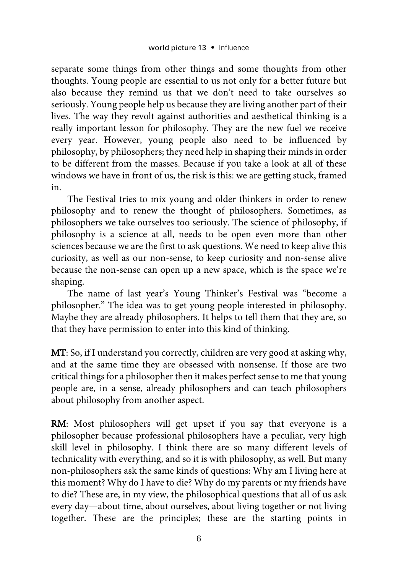separate some things from other things and some thoughts from other thoughts. Young people are essential to us not only for a better future but also because they remind us that we don't need to take ourselves so seriously. Young people help us because they are living another part of their lives. The way they revolt against authorities and aesthetical thinking is a really important lesson for philosophy. They are the new fuel we receive every year. However, young people also need to be influenced by philosophy, by philosophers; they need help in shaping their minds in order to be different from the masses. Because if you take a look at all of these windows we have in front of us, the risk is this: we are getting stuck, framed in.

The Festival tries to mix young and older thinkers in order to renew philosophy and to renew the thought of philosophers. Sometimes, as philosophers we take ourselves too seriously. The science of philosophy, if philosophy is a science at all, needs to be open even more than other sciences because we are the first to ask questions. We need to keep alive this curiosity, as well as our non-sense, to keep curiosity and non-sense alive because the non-sense can open up a new space, which is the space we're shaping.

The name of last year's Young Thinker's Festival was "become a philosopher." The idea was to get young people interested in philosophy. Maybe they are already philosophers. It helps to tell them that they are, so that they have permission to enter into this kind of thinking.

MT: So, if I understand you correctly, children are very good at asking why, and at the same time they are obsessed with nonsense. If those are two critical things for a philosopher then it makes perfect sense to me that young people are, in a sense, already philosophers and can teach philosophers about philosophy from another aspect.

RM: Most philosophers will get upset if you say that everyone is a philosopher because professional philosophers have a peculiar, very high skill level in philosophy. I think there are so many different levels of technicality with everything, and so it is with philosophy, as well. But many non-philosophers ask the same kinds of questions: Why am I living here at this moment? Why do I have to die? Why do my parents or my friends have to die? These are, in my view, the philosophical questions that all of us ask every day—about time, about ourselves, about living together or not living together. These are the principles; these are the starting points in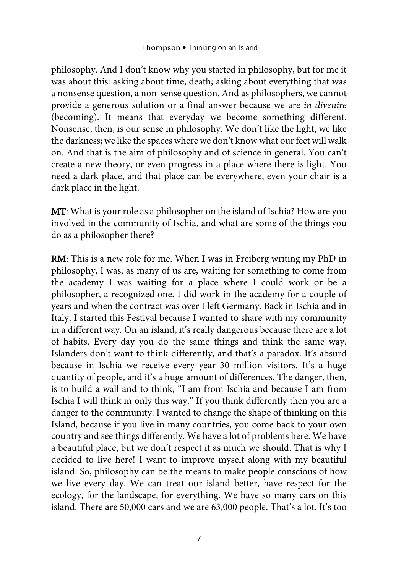philosophy. And I don't know why you started in philosophy, but for me it was about this: asking about time, death; asking about everything that was a nonsense question, a non-sense question. And as philosophers, we cannot provide a generous solution or a final answer because we are *in divenire*  (becoming). It means that everyday we become something different. Nonsense, then, is our sense in philosophy. We don't like the light, we like the darkness; we like the spaces where we don't know what our feet will walk on. And that is the aim of philosophy and of science in general. You can't create a new theory, or even progress in a place where there is light. You need a dark place, and that place can be everywhere, even your chair is a dark place in the light.

MT: What is your role as a philosopher on the island of Ischia? How are you involved in the community of Ischia, and what are some of the things you do as a philosopher there?

RM: This is a new role for me. When I was in Freiberg writing my PhD in philosophy, I was, as many of us are, waiting for something to come from the academy I was waiting for a place where I could work or be a philosopher, a recognized one. I did work in the academy for a couple of years and when the contract was over I left Germany. Back in Ischia and in Italy, I started this Festival because I wanted to share with my community in a different way. On an island, it's really dangerous because there are a lot of habits. Every day you do the same things and think the same way. Islanders don't want to think differently, and that's a paradox. It's absurd because in Ischia we receive every year 30 million visitors. It's a huge quantity of people, and it's a huge amount of differences. The danger, then, is to build a wall and to think, "I am from Ischia and because I am from Ischia I will think in only this way." If you think differently then you are a danger to the community. I wanted to change the shape of thinking on this Island, because if you live in many countries, you come back to your own country and see things differently. We have a lot of problems here. We have a beautiful place, but we don't respect it as much we should. That is why I decided to live here! I want to improve myself along with my beautiful island. So, philosophy can be the means to make people conscious of how we live every day. We can treat our island better, have respect for the ecology, for the landscape, for everything. We have so many cars on this island. There are 50,000 cars and we are 63,000 people. That's a lot. It's too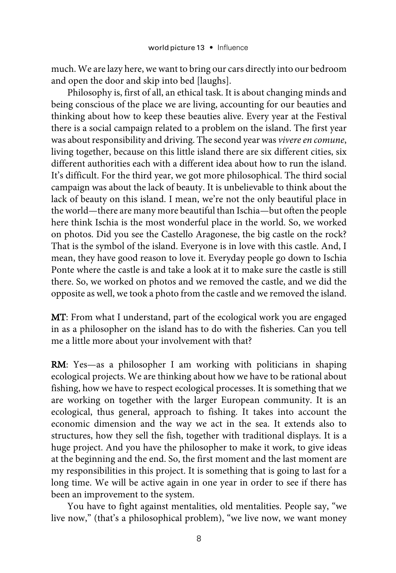much. We are lazy here, we want to bring our cars directly into our bedroom and open the door and skip into bed [laughs].

Philosophy is, first of all, an ethical task. It is about changing minds and being conscious of the place we are living, accounting for our beauties and thinking about how to keep these beauties alive. Every year at the Festival there is a social campaign related to a problem on the island. The first year was about responsibility and driving. The second year was *vivere en comune*, living together, because on this little island there are six different cities, six different authorities each with a different idea about how to run the island. It's difficult. For the third year, we got more philosophical. The third social campaign was about the lack of beauty. It is unbelievable to think about the lack of beauty on this island. I mean, we're not the only beautiful place in the world—there are many more beautiful than Ischia—but often the people here think Ischia is the most wonderful place in the world. So, we worked on photos. Did you see the Castello Aragonese, the big castle on the rock? That is the symbol of the island. Everyone is in love with this castle. And, I mean, they have good reason to love it. Everyday people go down to Ischia Ponte where the castle is and take a look at it to make sure the castle is still there. So, we worked on photos and we removed the castle, and we did the opposite as well, we took a photo from the castle and we removed the island.

MT: From what I understand, part of the ecological work you are engaged in as a philosopher on the island has to do with the fisheries. Can you tell me a little more about your involvement with that?

RM: Yes—as a philosopher I am working with politicians in shaping ecological projects. We are thinking about how we have to be rational about fishing, how we have to respect ecological processes. It is something that we are working on together with the larger European community. It is an ecological, thus general, approach to fishing. It takes into account the economic dimension and the way we act in the sea. It extends also to structures, how they sell the fish, together with traditional displays. It is a huge project. And you have the philosopher to make it work, to give ideas at the beginning and the end. So, the first moment and the last moment are my responsibilities in this project. It is something that is going to last for a long time. We will be active again in one year in order to see if there has been an improvement to the system.

You have to fight against mentalities, old mentalities. People say, "we live now," (that's a philosophical problem), "we live now, we want money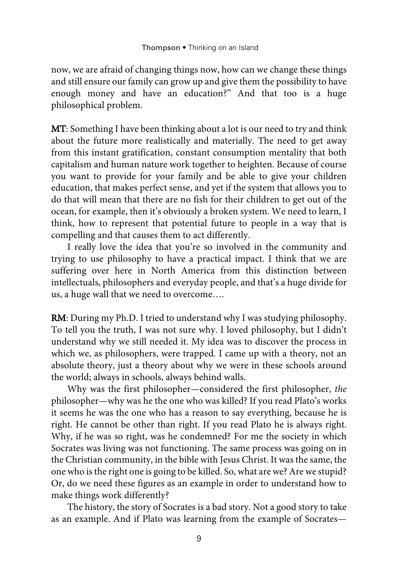now, we are afraid of changing things now, how can we change these things and still ensure our family can grow up and give them the possibility to have enough money and have an education?" And that too is a huge philosophical problem.

MT: Something I have been thinking about a lot is our need to try and think about the future more realistically and materially. The need to get away from this instant gratification, constant consumption mentality that both capitalism and human nature work together to heighten. Because of course you want to provide for your family and be able to give your children education, that makes perfect sense, and yet if the system that allows you to do that will mean that there are no fish for their children to get out of the ocean, for example, then it's obviously a broken system. We need to learn, I think, how to represent that potential future to people in a way that is compelling and that causes them to act differently.

I really love the idea that you're so involved in the community and trying to use philosophy to have a practical impact. I think that we are suffering over here in North America from this distinction between intellectuals, philosophers and everyday people, and that's a huge divide for us, a huge wall that we need to overcome….

RM: During my Ph.D. I tried to understand why I was studying philosophy. To tell you the truth, I was not sure why. I loved philosophy, but I didn't understand why we still needed it. My idea was to discover the process in which we, as philosophers, were trapped. I came up with a theory, not an absolute theory, just a theory about why we were in these schools around the world; always in schools, always behind walls.

Why was the first philosopher—considered the first philosopher, *the* philosopher—why was he the one who was killed? If you read Plato's works it seems he was the one who has a reason to say everything, because he is right. He cannot be other than right. If you read Plato he is always right. Why, if he was so right, was he condemned? For me the society in which Socrates was living was not functioning. The same process was going on in the Christian community, in the bible with Jesus Christ. It was the same, the one who is the right one is going to be killed. So, what are we? Are we stupid? Or, do we need these figures as an example in order to understand how to make things work differently?

The history, the story of Socrates is a bad story. Not a good story to take as an example. And if Plato was learning from the example of Socrates—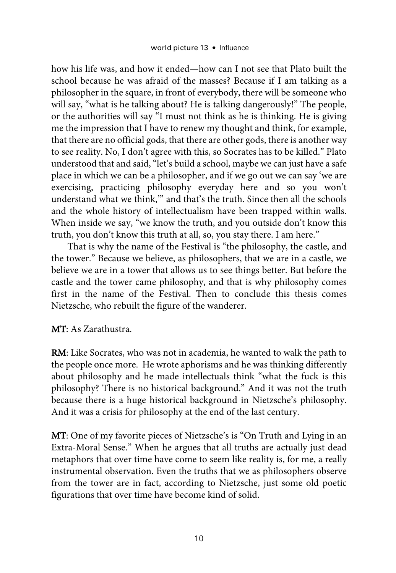how his life was, and how it ended—how can I not see that Plato built the school because he was afraid of the masses? Because if I am talking as a philosopher in the square, in front of everybody, there will be someone who will say, "what is he talking about? He is talking dangerously!" The people, or the authorities will say "I must not think as he is thinking. He is giving me the impression that I have to renew my thought and think, for example, that there are no official gods, that there are other gods, there is another way to see reality. No, I don't agree with this, so Socrates has to be killed." Plato understood that and said, "let's build a school, maybe we can just have a safe place in which we can be a philosopher, and if we go out we can say 'we are exercising, practicing philosophy everyday here and so you won't understand what we think,'" and that's the truth. Since then all the schools and the whole history of intellectualism have been trapped within walls. When inside we say, "we know the truth, and you outside don't know this truth, you don't know this truth at all, so, you stay there. I am here."

That is why the name of the Festival is "the philosophy, the castle, and the tower." Because we believe, as philosophers, that we are in a castle, we believe we are in a tower that allows us to see things better. But before the castle and the tower came philosophy, and that is why philosophy comes first in the name of the Festival. Then to conclude this thesis comes Nietzsche, who rebuilt the figure of the wanderer.

MT: As Zarathustra.

RM: Like Socrates, who was not in academia, he wanted to walk the path to the people once more. He wrote aphorisms and he was thinking differently about philosophy and he made intellectuals think "what the fuck is this philosophy? There is no historical background." And it was not the truth because there is a huge historical background in Nietzsche's philosophy. And it was a crisis for philosophy at the end of the last century.

MT: One of my favorite pieces of Nietzsche's is "On Truth and Lying in an Extra-Moral Sense." When he argues that all truths are actually just dead metaphors that over time have come to seem like reality is, for me, a really instrumental observation. Even the truths that we as philosophers observe from the tower are in fact, according to Nietzsche, just some old poetic figurations that over time have become kind of solid.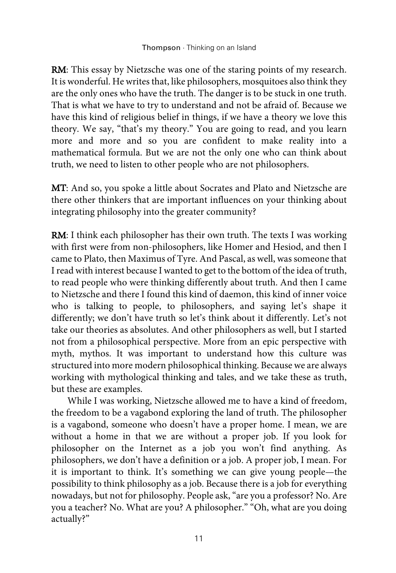RM: This essay by Nietzsche was one of the staring points of my research. It is wonderful. He writes that, like philosophers, mosquitoes also think they are the only ones who have the truth. The danger is to be stuck in one truth. That is what we have to try to understand and not be afraid of. Because we have this kind of religious belief in things, if we have a theory we love this theory. We say, "that's my theory." You are going to read, and you learn more and more and so you are confident to make reality into a mathematical formula. But we are not the only one who can think about truth, we need to listen to other people who are not philosophers.

MT: And so, you spoke a little about Socrates and Plato and Nietzsche are there other thinkers that are important influences on your thinking about integrating philosophy into the greater community?

RM: I think each philosopher has their own truth. The texts I was working with first were from non-philosophers, like Homer and Hesiod, and then I came to Plato, then Maximus of Tyre. And Pascal, as well, was someone that I read with interest because I wanted to get to the bottom of the idea of truth, to read people who were thinking differently about truth. And then I came to Nietzsche and there I found this kind of daemon, this kind of inner voice who is talking to people, to philosophers, and saying let's shape it differently; we don't have truth so let's think about it differently. Let's not take our theories as absolutes. And other philosophers as well, but I started not from a philosophical perspective. More from an epic perspective with myth, mythos. It was important to understand how this culture was structured into more modern philosophical thinking. Because we are always working with mythological thinking and tales, and we take these as truth, but these are examples.

While I was working, Nietzsche allowed me to have a kind of freedom, the freedom to be a vagabond exploring the land of truth. The philosopher is a vagabond, someone who doesn't have a proper home. I mean, we are without a home in that we are without a proper job. If you look for philosopher on the Internet as a job you won't find anything. As philosophers, we don't have a definition or a job. A proper job, I mean. For it is important to think. It's something we can give young people—the possibility to think philosophy as a job. Because there is a job for everything nowadays, but not for philosophy. People ask, "are you a professor? No. Are you a teacher? No. What are you? A philosopher." "Oh, what are you doing actually?"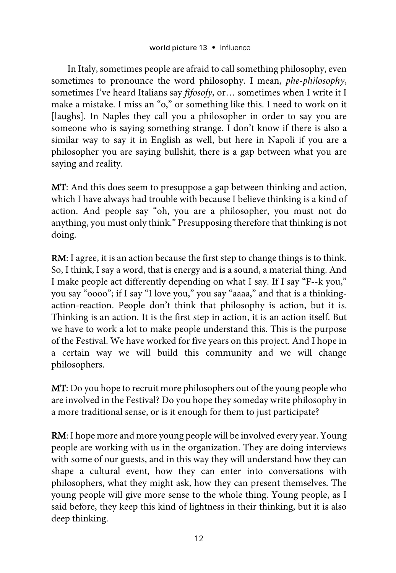In Italy, sometimes people are afraid to call something philosophy, even sometimes to pronounce the word philosophy. I mean, *phe-philosophy*, sometimes I've heard Italians say *fifosofy*, or… sometimes when I write it I make a mistake. I miss an "o," or something like this. I need to work on it [laughs]. In Naples they call you a philosopher in order to say you are someone who is saying something strange. I don't know if there is also a similar way to say it in English as well, but here in Napoli if you are a philosopher you are saying bullshit, there is a gap between what you are saying and reality.

MT: And this does seem to presuppose a gap between thinking and action, which I have always had trouble with because I believe thinking is a kind of action. And people say "oh, you are a philosopher, you must not do anything, you must only think." Presupposing therefore that thinking is not doing.

RM: I agree, it is an action because the first step to change things is to think. So, I think, I say a word, that is energy and is a sound, a material thing. And I make people act differently depending on what I say. If I say "F--k you," you say "oooo"; if I say "I love you," you say "aaaa," and that is a thinkingaction-reaction. People don't think that philosophy is action, but it is. Thinking is an action. It is the first step in action, it is an action itself. But we have to work a lot to make people understand this. This is the purpose of the Festival. We have worked for five years on this project. And I hope in a certain way we will build this community and we will change philosophers.

MT: Do you hope to recruit more philosophers out of the young people who are involved in the Festival? Do you hope they someday write philosophy in a more traditional sense, or is it enough for them to just participate?

RM: I hope more and more young people will be involved every year. Young people are working with us in the organization. They are doing interviews with some of our guests, and in this way they will understand how they can shape a cultural event, how they can enter into conversations with philosophers, what they might ask, how they can present themselves. The young people will give more sense to the whole thing. Young people, as I said before, they keep this kind of lightness in their thinking, but it is also deep thinking.